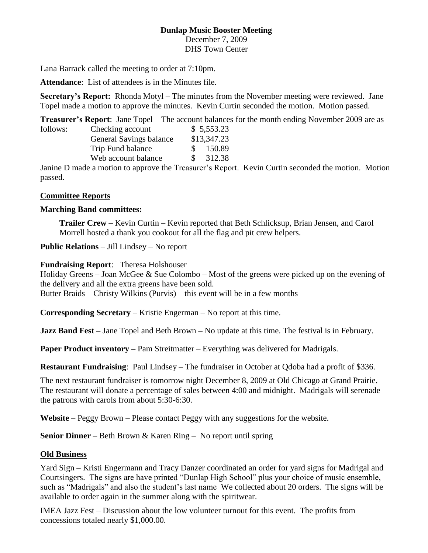#### **Dunlap Music Booster Meeting** December 7, 2009 DHS Town Center

Lana Barrack called the meeting to order at 7:10pm.

**Attendance**: List of attendees is in the Minutes file.

**Secretary's Report:** Rhonda Motyl – The minutes from the November meeting were reviewed. Jane Topel made a motion to approve the minutes. Kevin Curtin seconded the motion. Motion passed.

**Treasurer's Report**: Jane Topel – The account balances for the month ending November 2009 are as

| follows: | Checking account        |  |    | \$5,553.23  |
|----------|-------------------------|--|----|-------------|
|          | General Savings balance |  |    | \$13,347.23 |
|          | Trip Fund balance       |  |    | 150.89      |
|          | Web account balance     |  | S. | 312.38      |
|          |                         |  |    |             |

Janine D made a motion to approve the Treasurer's Report. Kevin Curtin seconded the motion. Motion passed.

## **Committee Reports**

## **Marching Band committees:**

**Trailer Crew –** Kevin Curtin **–** Kevin reported that Beth Schlicksup, Brian Jensen, and Carol Morrell hosted a thank you cookout for all the flag and pit crew helpers.

**Public Relations** – Jill Lindsey – No report

## **Fundraising Report**: Theresa Holshouser

Holiday Greens – Joan McGee & Sue Colombo – Most of the greens were picked up on the evening of the delivery and all the extra greens have been sold.

Butter Braids – Christy Wilkins (Purvis) – this event will be in a few months

**Corresponding Secretary** – Kristie Engerman – No report at this time.

**Jazz Band Fest –** Jane Topel and Beth Brown **–** No update at this time. The festival is in February.

**Paper Product inventory** – Pam Streitmatter – Everything was delivered for Madrigals.

**Restaurant Fundraising**: Paul Lindsey – The fundraiser in October at Qdoba had a profit of \$336.

The next restaurant fundraiser is tomorrow night December 8, 2009 at Old Chicago at Grand Prairie. The restaurant will donate a percentage of sales between 4:00 and midnight. Madrigals will serenade the patrons with carols from about 5:30-6:30.

**Website** – Peggy Brown – Please contact Peggy with any suggestions for the website.

**Senior Dinner** – Beth Brown & Karen Ring – No report until spring

#### **Old Business**

Yard Sign – Kristi Engermann and Tracy Danzer coordinated an order for yard signs for Madrigal and Courtsingers. The signs are have printed "Dunlap High School" plus your choice of music ensemble, such as "Madrigals" and also the student's last name We collected about 20 orders. The signs will be available to order again in the summer along with the spiritwear.

IMEA Jazz Fest – Discussion about the low volunteer turnout for this event. The profits from concessions totaled nearly \$1,000.00.